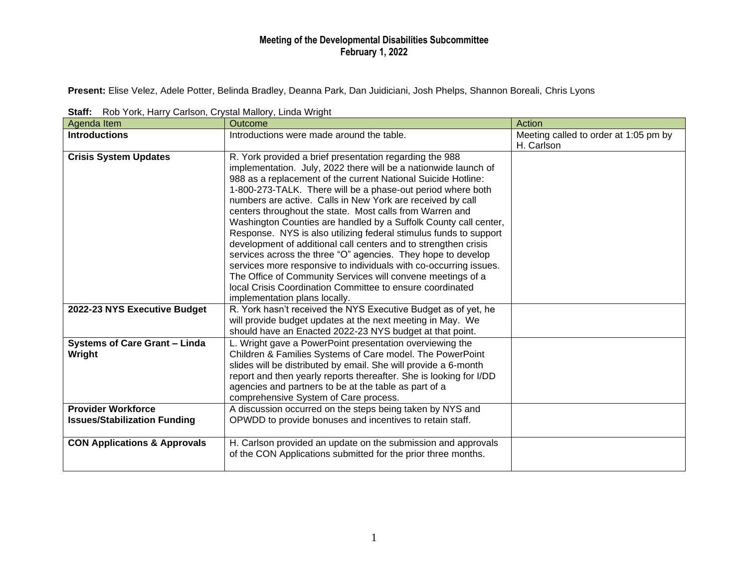## **Meeting of the Developmental Disabilities Subcommittee February 1, 2022**

**Present:** Elise Velez, Adele Potter, Belinda Bradley, Deanna Park, Dan Juidiciani, Josh Phelps, Shannon Boreali, Chris Lyons

| $\frac{1}{2}$                           |                                                                    |                                       |
|-----------------------------------------|--------------------------------------------------------------------|---------------------------------------|
| Agenda Item                             | Outcome                                                            | Action                                |
| <b>Introductions</b>                    | Introductions were made around the table.                          | Meeting called to order at 1:05 pm by |
|                                         |                                                                    | H. Carlson                            |
| <b>Crisis System Updates</b>            | R. York provided a brief presentation regarding the 988            |                                       |
|                                         | implementation. July, 2022 there will be a nationwide launch of    |                                       |
|                                         | 988 as a replacement of the current National Suicide Hotline:      |                                       |
|                                         | 1-800-273-TALK. There will be a phase-out period where both        |                                       |
|                                         | numbers are active. Calls in New York are received by call         |                                       |
|                                         | centers throughout the state. Most calls from Warren and           |                                       |
|                                         | Washington Counties are handled by a Suffolk County call center,   |                                       |
|                                         | Response. NYS is also utilizing federal stimulus funds to support  |                                       |
|                                         | development of additional call centers and to strengthen crisis    |                                       |
|                                         | services across the three "O" agencies. They hope to develop       |                                       |
|                                         | services more responsive to individuals with co-occurring issues.  |                                       |
|                                         | The Office of Community Services will convene meetings of a        |                                       |
|                                         | local Crisis Coordination Committee to ensure coordinated          |                                       |
|                                         | implementation plans locally.                                      |                                       |
| 2022-23 NYS Executive Budget            | R. York hasn't received the NYS Executive Budget as of yet, he     |                                       |
|                                         | will provide budget updates at the next meeting in May. We         |                                       |
|                                         | should have an Enacted 2022-23 NYS budget at that point.           |                                       |
| <b>Systems of Care Grant - Linda</b>    | L. Wright gave a PowerPoint presentation overviewing the           |                                       |
| Wright                                  | Children & Families Systems of Care model. The PowerPoint          |                                       |
|                                         | slides will be distributed by email. She will provide a 6-month    |                                       |
|                                         | report and then yearly reports thereafter. She is looking for I/DD |                                       |
|                                         | agencies and partners to be at the table as part of a              |                                       |
|                                         | comprehensive System of Care process.                              |                                       |
| <b>Provider Workforce</b>               | A discussion occurred on the steps being taken by NYS and          |                                       |
| <b>Issues/Stabilization Funding</b>     | OPWDD to provide bonuses and incentives to retain staff.           |                                       |
|                                         |                                                                    |                                       |
| <b>CON Applications &amp; Approvals</b> | H. Carlson provided an update on the submission and approvals      |                                       |
|                                         | of the CON Applications submitted for the prior three months.      |                                       |
|                                         |                                                                    |                                       |

**Staff:** Rob York, Harry Carlson, Crystal Mallory, Linda Wright